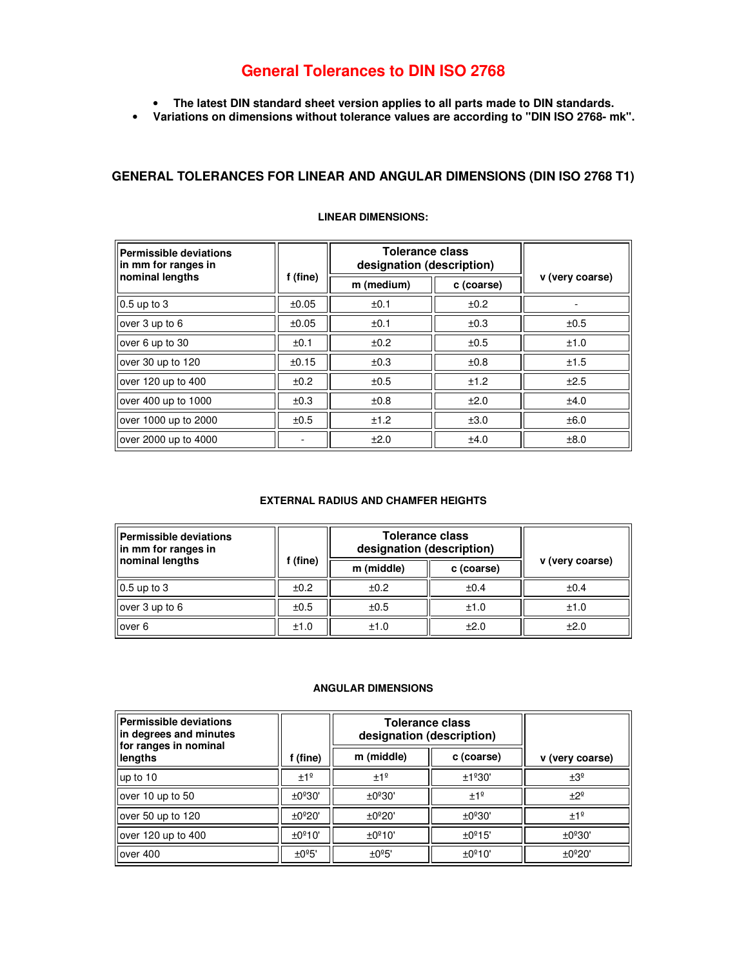# **General Tolerances to DIN ISO 2768**

- **The latest DIN standard sheet version applies to all parts made to DIN standards.**
- **Variations on dimensions without tolerance values are according to "DIN ISO 2768- mk".**

### **GENERAL TOLERANCES FOR LINEAR AND ANGULAR DIMENSIONS (DIN ISO 2768 T1)**

| Permissible deviations<br>llin mm for ranges in |          | <b>Tolerance class</b><br>designation (description) |            |                 |  |
|-------------------------------------------------|----------|-----------------------------------------------------|------------|-----------------|--|
| nominal lengths                                 | f (fine) | m (medium)                                          | c (coarse) | v (very coarse) |  |
| $\vert$ 0.5 up to 3                             | ±0.05    | ±0.1                                                | ±0.2       |                 |  |
| over 3 up to 6                                  | ±0.05    | ±0.1                                                | ±0.3       | ±0.5            |  |
| over 6 up to 30                                 | ±0.1     | ±0.2                                                | ±0.5       | ±1.0            |  |
| over 30 up to 120                               | ±0.15    | ±0.3                                                | ±0.8       | ±1.5            |  |
| over 120 up to 400                              | ±0.2     | ±0.5                                                | ±1.2       | ±2.5            |  |
| over 400 up to 1000                             | ±0.3     | ±0.8                                                | ±2.0       | ±4.0            |  |
| over 1000 up to 2000                            | ±0.5     | ±1.2                                                | ±3.0       | ±6.0            |  |
| over 2000 up to 4000                            |          | ±2.0                                                | ±4.0       | ±8.0            |  |

#### **LINEAR DIMENSIONS:**

### **EXTERNAL RADIUS AND CHAMFER HEIGHTS**

| Permissible deviations<br>lin mm for ranges in | f (fine) | <b>Tolerance class</b><br>designation (description) |            |                 |
|------------------------------------------------|----------|-----------------------------------------------------|------------|-----------------|
| nominal lengths                                |          | m (middle)                                          | c (coarse) | v (very coarse) |
| $\vert$ 0.5 up to 3                            | ±0.2     | ±0.2                                                | ±0.4       | ±0.4            |
| lover 3 up to 6                                | ±0.5     | ±0.5                                                | ±1.0       | ±1.0            |
| llover 6                                       | ±1.0     | ±1.0                                                | ±2.0       | ±2.0            |

### **ANGULAR DIMENSIONS**

| Permissible deviations<br>lin degrees and minutes<br>for ranges in nominal |                    | <b>Tolerance class</b><br>designation (description) |                     |                 |
|----------------------------------------------------------------------------|--------------------|-----------------------------------------------------|---------------------|-----------------|
| lengths                                                                    | (fine)             | m (middle)                                          | c (coarse)          | v (very coarse) |
| up to 10                                                                   | ±1 <sup>°</sup>    | ±1 <sup>°</sup>                                     | ±1°30'              | $\pm 3^{\circ}$ |
| lover 10 up to 50                                                          | ±0°30'             | ±0°30'                                              | ±1 <sup>°</sup>     | $+2°$           |
| $\vert$ over 50 up to 120                                                  | $\pm 0^{\circ}20'$ | $\pm 0^{\circ}20'$                                  | ±0°30'              | ±1 <sup>°</sup> |
| lover 120 up to 400                                                        | ±0°10'             | ±0°10'                                              | $\pm 0^{\circ}$ 15' | ±0°30'          |
| $\sqrt{ }$ lover 400                                                       | $\pm 0.5$          | ±0°5'                                               | ±0°10'              | ±0°20'          |